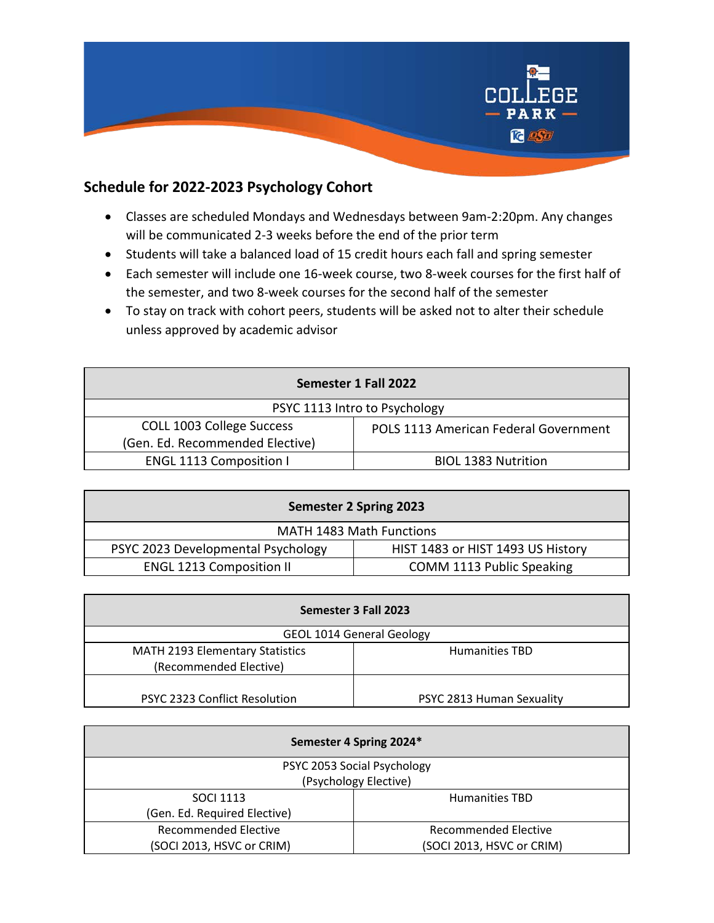

## **Schedule for 2022-2023 Psychology Cohort**

- Classes are scheduled Mondays and Wednesdays between 9am-2:20pm. Any changes will be communicated 2-3 weeks before the end of the prior term
- Students will take a balanced load of 15 credit hours each fall and spring semester
- Each semester will include one 16-week course, two 8-week courses for the first half of the semester, and two 8-week courses for the second half of the semester
- To stay on track with cohort peers, students will be asked not to alter their schedule unless approved by academic advisor

| Semester 1 Fall 2022            |                                       |  |
|---------------------------------|---------------------------------------|--|
| PSYC 1113 Intro to Psychology   |                                       |  |
| COLL 1003 College Success       | POLS 1113 American Federal Government |  |
| (Gen. Ed. Recommended Elective) |                                       |  |
| <b>ENGL 1113 Composition I</b>  | <b>BIOL 1383 Nutrition</b>            |  |

| Semester 2 Spring 2023             |                                   |  |
|------------------------------------|-----------------------------------|--|
| <b>MATH 1483 Math Functions</b>    |                                   |  |
| PSYC 2023 Developmental Psychology | HIST 1483 or HIST 1493 US History |  |
| <b>ENGL 1213 Composition II</b>    | COMM 1113 Public Speaking         |  |

| Semester 3 Fall 2023                 |                           |  |
|--------------------------------------|---------------------------|--|
| <b>GEOL 1014 General Geology</b>     |                           |  |
| MATH 2193 Elementary Statistics      | <b>Humanities TBD</b>     |  |
| (Recommended Elective)               |                           |  |
|                                      |                           |  |
| <b>PSYC 2323 Conflict Resolution</b> | PSYC 2813 Human Sexuality |  |

| Semester 4 Spring 2024*      |                             |  |
|------------------------------|-----------------------------|--|
| PSYC 2053 Social Psychology  |                             |  |
| (Psychology Elective)        |                             |  |
| <b>SOCI 1113</b>             | <b>Humanities TBD</b>       |  |
| (Gen. Ed. Required Elective) |                             |  |
| <b>Recommended Elective</b>  | <b>Recommended Elective</b> |  |
| (SOCI 2013, HSVC or CRIM)    | (SOCI 2013, HSVC or CRIM)   |  |